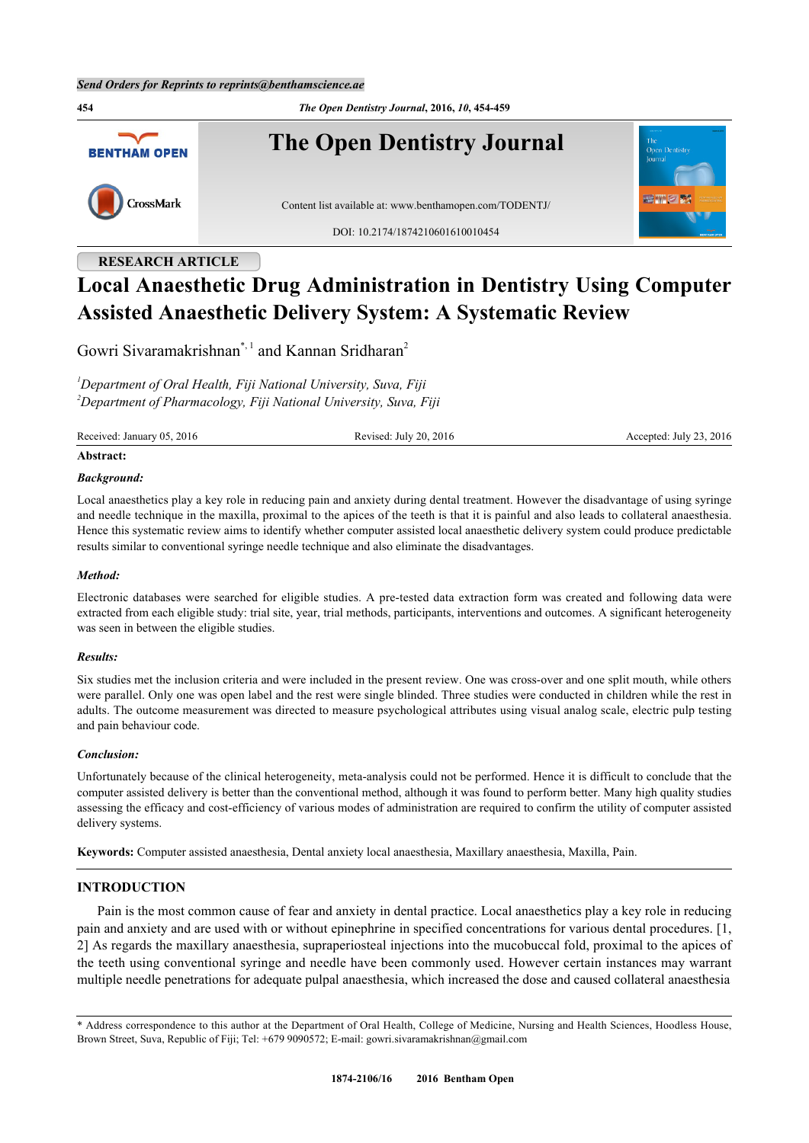**454** *The Open Dentistry Journal***, 2016,** *10***, 454-459 The Open Dentistry Journal BENTHAM OPEN** CrossMark Content list available at: [www.benthamopen.com/TODENTJ/](http://www.benthamopen.com/TODENTJ/) DOI: [10.2174/1874210601610010454](http://dx.doi.org/10.2174/1874210601610010454)

## **RESEARCH ARTICLE**

# **Local Anaesthetic Drug Administration in Dentistry Using Computer Assisted Anaesthetic Delivery System: A Systematic Review**

Gowri Sivaramakrishnan[\\*](#page-0-0),<sup>[1](#page-0-1)</sup> and Kannan Sridharan<sup>[2](#page-0-2)</sup>

<span id="page-0-2"></span><span id="page-0-1"></span>*<sup>1</sup>Department of Oral Health, Fiji National University, Suva, Fiji <sup>2</sup>Department of Pharmacology, Fiji National University, Suva, Fiji*

Received: January 05, 2016 Revised: July 20, 2016 Revised: July 20, 2016 Accepted: July 23, 2016

#### **Abstract:**

#### *Background:*

Local anaesthetics play a key role in reducing pain and anxiety during dental treatment. However the disadvantage of using syringe and needle technique in the maxilla, proximal to the apices of the teeth is that it is painful and also leads to collateral anaesthesia. Hence this systematic review aims to identify whether computer assisted local anaesthetic delivery system could produce predictable results similar to conventional syringe needle technique and also eliminate the disadvantages.

#### *Method:*

Electronic databases were searched for eligible studies. A pre-tested data extraction form was created and following data were extracted from each eligible study: trial site, year, trial methods, participants, interventions and outcomes. A significant heterogeneity was seen in between the eligible studies.

#### *Results:*

Six studies met the inclusion criteria and were included in the present review. One was cross-over and one split mouth, while others were parallel. Only one was open label and the rest were single blinded. Three studies were conducted in children while the rest in adults. The outcome measurement was directed to measure psychological attributes using visual analog scale, electric pulp testing and pain behaviour code.

#### *Conclusion:*

Unfortunately because of the clinical heterogeneity, meta-analysis could not be performed. Hence it is difficult to conclude that the computer assisted delivery is better than the conventional method, although it was found to perform better. Many high quality studies assessing the efficacy and cost-efficiency of various modes of administration are required to confirm the utility of computer assisted delivery systems.

**Keywords:** Computer assisted anaesthesia, Dental anxiety local anaesthesia, Maxillary anaesthesia, Maxilla, Pain.

### **INTRODUCTION**

Pain is the most common cause of fear and anxiety in dental practice. Local anaesthetics play a key role in reducing pain and anxiety and are used with or without epinephrine in specified concentrations for various dental procedures. [[1](#page-4-0), [2\]](#page-4-1) As regards the maxillary anaesthesia, supraperiosteal injections into the mucobuccal fold, proximal to the apices of the teeth using conventional syringe and needle have been commonly used. However certain instances may warrant multiple needle penetrations for adequate pulpal anaesthesia, which increased the dose and caused collateral anaesthesia

<span id="page-0-0"></span><sup>\*</sup> Address correspondence to this author at the Department of Oral Health, College of Medicine, Nursing and Health Sciences, Hoodless House, Brown Street, Suva, Republic of Fiji; Tel: +679 9090572; E-mail: [gowri.sivaramakrishnan@gmail.com](mailto:gowri.sivaramakrishnan@gmail.com)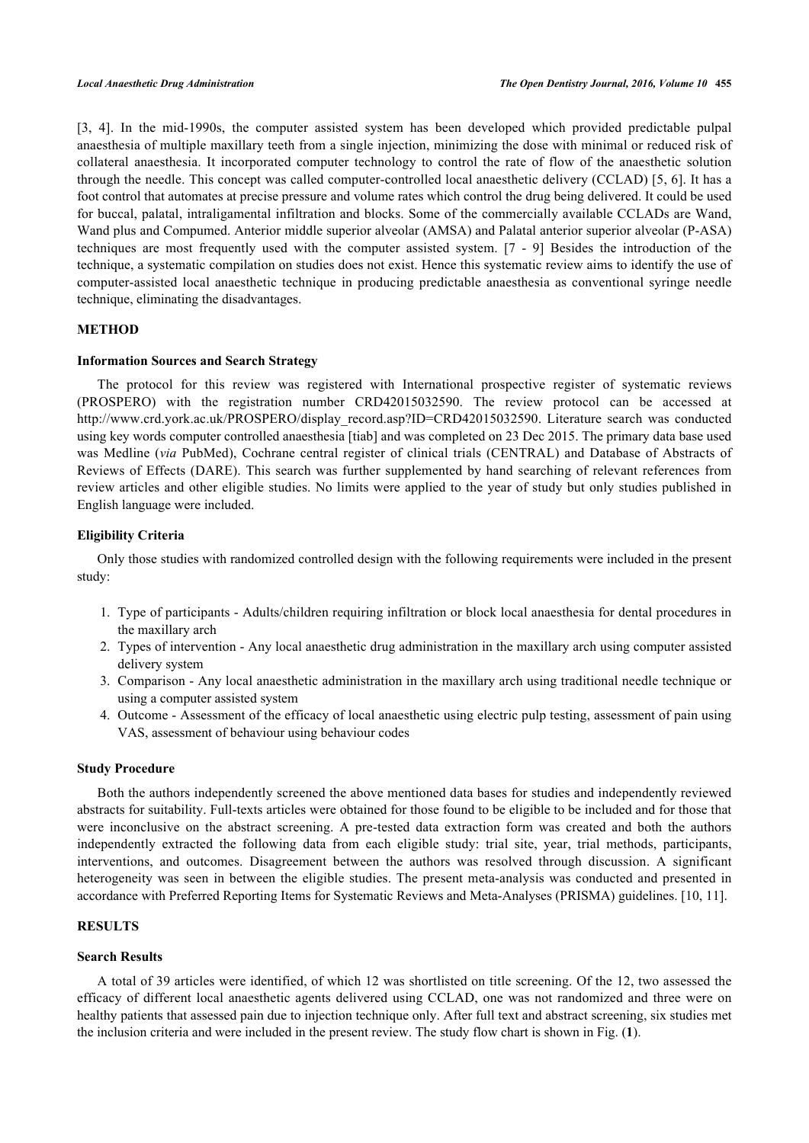[\[3](#page-4-2), [4\]](#page-4-3). In the mid-1990s, the computer assisted system has been developed which provided predictable pulpal anaesthesia of multiple maxillary teeth from a single injection, minimizing the dose with minimal or reduced risk of collateral anaesthesia. It incorporated computer technology to control the rate of flow of the anaesthetic solution through the needle. This concept was called computer-controlled local anaesthetic delivery (CCLAD) [[5,](#page-4-4) [6](#page-4-5)]. It has a foot control that automates at precise pressure and volume rates which control the drug being delivered. It could be used for buccal, palatal, intraligamental infiltration and blocks. Some of the commercially available CCLADs are Wand, Wand plus and Compumed. Anterior middle superior alveolar (AMSA) and Palatal anterior superior alveolar (P-ASA) techniques are most frequently used with the computer assisted system. [\[7](#page-4-6) - [9](#page-4-7)] Besides the introduction of the technique, a systematic compilation on studies does not exist. Hence this systematic review aims to identify the use of computer-assisted local anaesthetic technique in producing predictable anaesthesia as conventional syringe needle technique, eliminating the disadvantages.

#### **METHOD**

#### **Information Sources and Search Strategy**

The protocol for this review was registered with International prospective register of systematic reviews (PROSPERO) with the registration number CRD42015032590. The review protocol can be accessed at [http://www.crd.york.ac.uk/PROSPERO/display\\_record.asp?ID=CRD42015032590](http://www.crd.york.ac.uk/PROSPERO/display_record.asp?ID=CRD42015032590). Literature search was conducted using key words computer controlled anaesthesia [tiab] and was completed on 23 Dec 2015. The primary data base used was Medline (*via* PubMed), Cochrane central register of clinical trials (CENTRAL) and Database of Abstracts of Reviews of Effects (DARE). This search was further supplemented by hand searching of relevant references from review articles and other eligible studies. No limits were applied to the year of study but only studies published in English language were included.

#### **Eligibility Criteria**

Only those studies with randomized controlled design with the following requirements were included in the present study:

- 1. Type of participants Adults/children requiring infiltration or block local anaesthesia for dental procedures in the maxillary arch
- 2. Types of intervention Any local anaesthetic drug administration in the maxillary arch using computer assisted delivery system
- 3. Comparison Any local anaesthetic administration in the maxillary arch using traditional needle technique or using a computer assisted system
- 4. Outcome Assessment of the efficacy of local anaesthetic using electric pulp testing, assessment of pain using VAS, assessment of behaviour using behaviour codes

#### **Study Procedure**

Both the authors independently screened the above mentioned data bases for studies and independently reviewed abstracts for suitability. Full-texts articles were obtained for those found to be eligible to be included and for those that were inconclusive on the abstract screening. A pre-tested data extraction form was created and both the authors independently extracted the following data from each eligible study: trial site, year, trial methods, participants, interventions, and outcomes. Disagreement between the authors was resolved through discussion. A significant heterogeneity was seen in between the eligible studies. The present meta-analysis was conducted and presented in accordance with Preferred Reporting Items for Systematic Reviews and Meta-Analyses (PRISMA) guidelines. [[10,](#page-5-0) [11\]](#page-5-1).

#### **RESULTS**

#### **Search Results**

<span id="page-1-0"></span>A total of 39 articles were identified, of which 12 was shortlisted on title screening. Of the 12, two assessed the efficacy of different local anaesthetic agents delivered using CCLAD, one was not randomized and three were on healthy patients that assessed pain due to injection technique only. After full text and abstract screening, six studies met the inclusion criteria and were included in the present review. The study flow chart is shown in Fig. (**[1](#page-1-0)**).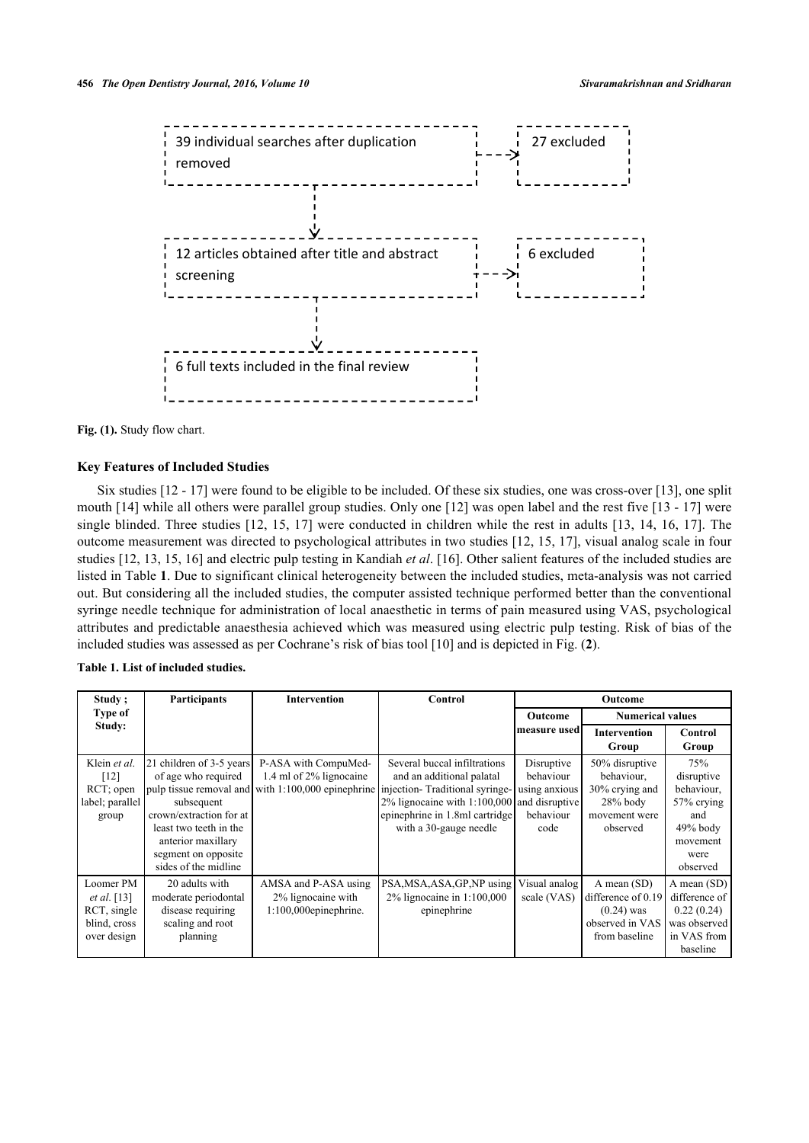

Fig. (1). Study flow chart.

#### **Key Features of Included Studies**

Six studies [\[12](#page-5-2) - [17\]](#page-5-3) were found to be eligible to be included. Of these six studies, one was cross-over [[13\]](#page-5-4), one split mouth [[14\]](#page-5-5) while all others were parallel group studies. Only one [\[12](#page-5-2)] was open label and the rest five [[13](#page-5-4) - [17\]](#page-5-3) were single blinded. Three studies [[12](#page-5-2), [15,](#page-5-6) [17\]](#page-5-3) were conducted in children while the rest in adults [\[13,](#page-5-4) [14,](#page-5-5) [16](#page-5-7), [17](#page-5-3)]. The outcome measurement was directed to psychological attributes in two studies [\[12,](#page-5-2) [15](#page-5-6), [17\]](#page-5-3), visual analog scale in four studies [[12,](#page-5-2) [13,](#page-5-4) [15](#page-5-6), [16](#page-5-7)] and electric pulp testing in Kandiah *et al*. [[16](#page-5-7)]. Other salient features of the included studies are listed in Table **[1](#page-2-0)**. Due to significant clinical heterogeneity between the included studies, meta-analysis was not carried out. But considering all the included studies, the computer assisted technique performed better than the conventional syringe needle technique for administration of local anaesthetic in terms of pain measured using VAS, psychological attributes and predictable anaesthesia achieved which was measured using electric pulp testing. Risk of bias of the included studies was assessed as per Cochrane's risk of bias tool [[10\]](#page-5-0) and is depicted in Fig. (**[2](#page-3-0)**).

<span id="page-2-0"></span>

| Study;                                                                   | Participants                                                                                                                                                                            | <b>Intervention</b>                                                    | Control                                                                                                                                                                                                                                                     | Outcome                                                       |                                                                                           |                                                                                                    |
|--------------------------------------------------------------------------|-----------------------------------------------------------------------------------------------------------------------------------------------------------------------------------------|------------------------------------------------------------------------|-------------------------------------------------------------------------------------------------------------------------------------------------------------------------------------------------------------------------------------------------------------|---------------------------------------------------------------|-------------------------------------------------------------------------------------------|----------------------------------------------------------------------------------------------------|
| Type of                                                                  |                                                                                                                                                                                         |                                                                        |                                                                                                                                                                                                                                                             | <b>Numerical values</b><br>Outcome                            |                                                                                           |                                                                                                    |
| Study:                                                                   |                                                                                                                                                                                         |                                                                        |                                                                                                                                                                                                                                                             | measure used                                                  | <b>Intervention</b><br>Group                                                              | Control<br>Group                                                                                   |
| Klein et al.<br>[12]<br>RCT; open<br>label; parallel<br>group            | 21 children of 3-5 years<br>of age who required<br>subsequent<br>crown/extraction for at<br>least two teeth in the<br>anterior maxillary<br>segment on opposite<br>sides of the midline | P-ASA with CompuMed-<br>1.4 ml of 2% lignocaine                        | Several buccal infiltrations<br>and an additional palatal<br>  pulp tissue removal and with 1:100,000 epinephrine injection-Traditional syringe-<br>2% lignocaine with 1:100,000 and disruptive<br>epinephrine in 1.8ml cartridge<br>with a 30-gauge needle | Disruptive<br>behaviour<br>using anxious<br>behaviour<br>code | 50% disruptive<br>behaviour,<br>30% crying and<br>$28%$ body<br>movement were<br>observed | 75%<br>disruptive<br>behaviour,<br>57% crying<br>and<br>$49%$ body<br>movement<br>were<br>observed |
| Loomer PM<br>et al. $[13]$<br>RCT, single<br>blind, cross<br>over design | 20 adults with<br>moderate periodontal<br>disease requiring<br>scaling and root<br>planning                                                                                             | AMSA and P-ASA using<br>2% lignocaine with<br>$1:100,000$ epinephrine. | PSA, MSA, ASA, GP, NP using<br>2% lignocaine in 1:100,000<br>epinephrine                                                                                                                                                                                    | Visual analog<br>scale (VAS)                                  | A mean (SD)<br>difference of 0.19<br>$(0.24)$ was<br>observed in VAS<br>from baseline     | A mean (SD)<br>difference of<br>0.22(0.24)<br>was observed<br>in VAS from<br>baseline              |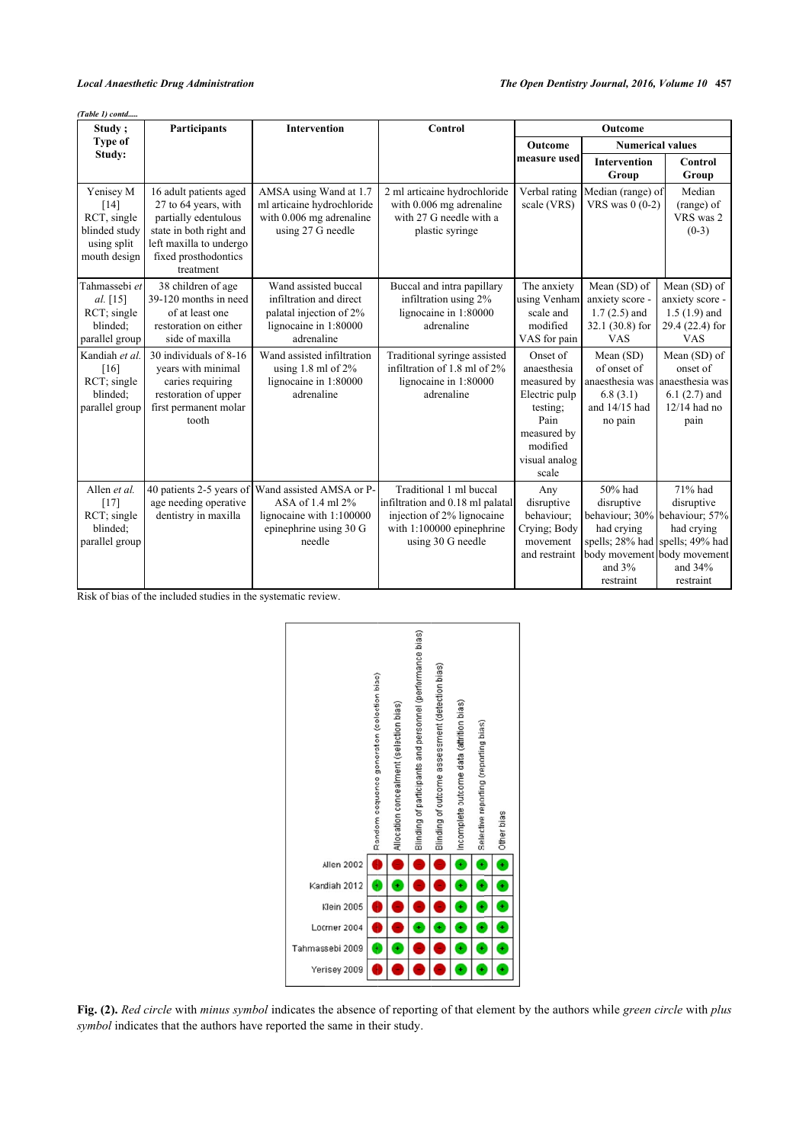| (Table 1) contd                                                                  |                                                                                                                                                                   |                                                                                                                   |                                                                                                                                             |                                                                                                                                  |                                                                                     |                                                                                                                                                                |  |  |  |  |
|----------------------------------------------------------------------------------|-------------------------------------------------------------------------------------------------------------------------------------------------------------------|-------------------------------------------------------------------------------------------------------------------|---------------------------------------------------------------------------------------------------------------------------------------------|----------------------------------------------------------------------------------------------------------------------------------|-------------------------------------------------------------------------------------|----------------------------------------------------------------------------------------------------------------------------------------------------------------|--|--|--|--|
| Study;                                                                           | Participants                                                                                                                                                      | <b>Intervention</b>                                                                                               | Control                                                                                                                                     | Outcome                                                                                                                          |                                                                                     |                                                                                                                                                                |  |  |  |  |
| Type of                                                                          |                                                                                                                                                                   |                                                                                                                   |                                                                                                                                             | <b>Outcome</b>                                                                                                                   | <b>Numerical values</b>                                                             |                                                                                                                                                                |  |  |  |  |
| Study:                                                                           |                                                                                                                                                                   |                                                                                                                   |                                                                                                                                             | measure used                                                                                                                     | <b>Intervention</b><br>Group                                                        | Control<br>Group                                                                                                                                               |  |  |  |  |
| Yenisey M<br>[14]<br>RCT, single<br>blinded study<br>using split<br>mouth design | 16 adult patients aged<br>27 to 64 years, with<br>partially edentulous<br>state in both right and<br>left maxilla to undergo<br>fixed prosthodontics<br>treatment | AMSA using Wand at 1.7<br>ml articaine hydrochloride<br>with 0.006 mg adrenaline<br>using 27 G needle             | 2 ml articaine hydrochloride<br>with 0.006 mg adrenaline<br>with 27 G needle with a<br>plastic syringe                                      | Verbal rating<br>scale (VRS)                                                                                                     | Median (range) of<br>VRS was $0(0-2)$                                               | Median<br>(range) of<br>VRS was 2<br>$(0-3)$                                                                                                                   |  |  |  |  |
| Tahmassebi et<br>al. $[15]$<br>RCT; single<br>blinded:<br>parallel group         | 38 children of age<br>39-120 months in need<br>of at least one<br>restoration on either<br>side of maxilla                                                        | Wand assisted buccal<br>infiltration and direct<br>palatal injection of 2%<br>lignocaine in 1:80000<br>adrenaline | Buccal and intra papillary<br>infiltration using 2%<br>lignocaine in 1:80000<br>adrenaline                                                  | The anxiety<br>using Venham<br>scale and<br>modified<br>VAS for pain                                                             | Mean (SD) of<br>anxiety score -<br>$1.7(2.5)$ and<br>$32.1(30.8)$ for<br><b>VAS</b> | Mean (SD) of<br>anxiety score -<br>$1.5(1.9)$ and<br>29.4 (22.4) for<br><b>VAS</b>                                                                             |  |  |  |  |
| Kandiah et al.<br>[16]<br>RCT; single<br>blinded:<br>parallel group              | 30 individuals of 8-16<br>vears with minimal<br>caries requiring<br>restoration of upper<br>first permanent molar<br>tooth                                        | Wand assisted infiltration<br>using 1.8 ml of $2\%$<br>lignocaine in 1:80000<br>adrenaline                        | Traditional syringe assisted<br>infiltration of 1.8 ml of 2%<br>lignocaine in 1:80000<br>adrenaline                                         | Onset of<br>anaesthesia<br>measured by<br>Electric pulp<br>testing;<br>Pain<br>measured by<br>modified<br>visual analog<br>scale | Mean (SD)<br>of onset of<br>6.8(3.1)<br>and 14/15 had<br>no pain                    | Mean (SD) of<br>onset of<br>anaesthesia was anaesthesia was<br>$6.1(2.7)$ and<br>$12/14$ had no<br>pain                                                        |  |  |  |  |
| Allen et al.<br>[17]<br>RCT; single<br>blinded:<br>parallel group                | 40 patients 2-5 years of<br>age needing operative<br>dentistry in maxilla                                                                                         | Wand assisted AMSA or P-<br>ASA of $1.4$ ml $2\%$<br>lignocaine with 1:100000<br>epinephrine using 30 G<br>needle | Traditional 1 ml buccal<br>infiltration and 0.18 ml palatal<br>injection of 2% lignocaine<br>with 1:100000 epinephrine<br>using 30 G needle | Any<br>disruptive<br>behaviour;<br>Crying; Body<br>movement<br>and restraint                                                     | 50% had<br>disruptive<br>had crying<br>and $3%$<br>restraint                        | 71% had<br>disruptive<br>behaviour; 30% behaviour; 57%<br>had crying<br>spells; 28% had spells; 49% had<br>body movement body movement<br>and 34%<br>restraint |  |  |  |  |

<span id="page-3-0"></span>Risk of bias of the included studies in the systematic review.



**Fig. (2).** *Red circle* with *minus symbol* indicates the absence of reporting of that element by the authors while *green circle* with *plus symbol* indicates that the authors have reported the same in their study.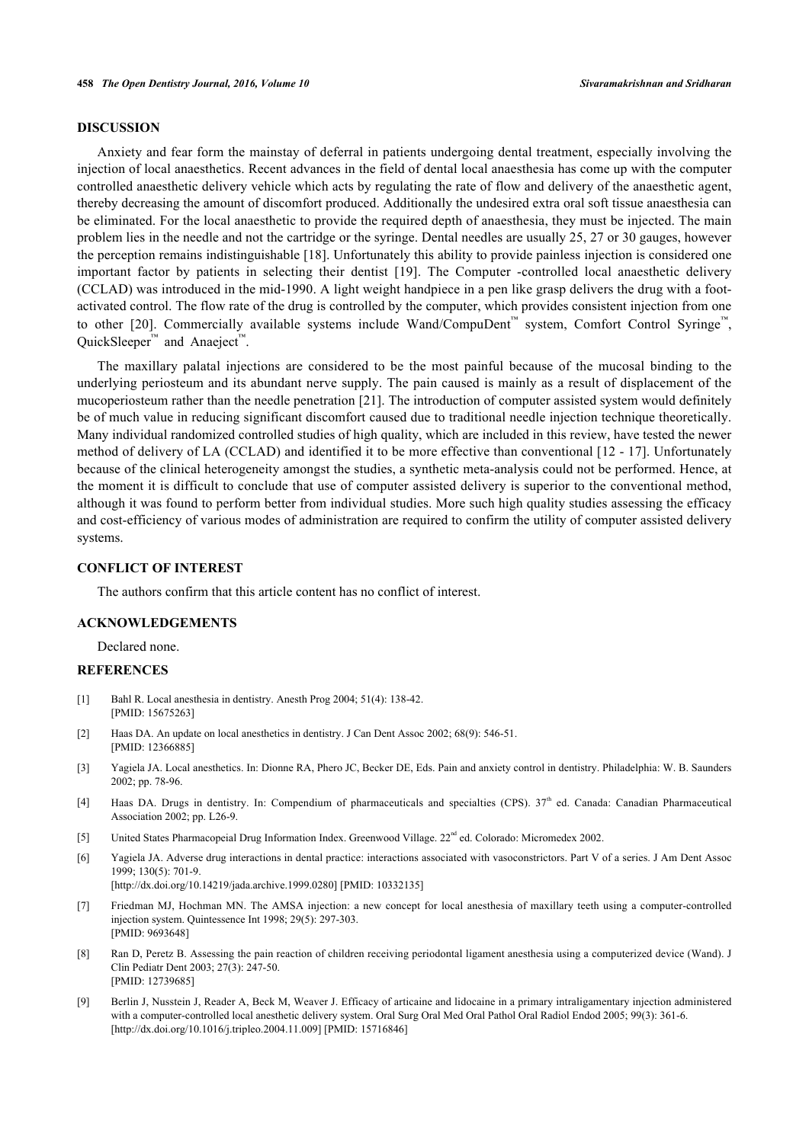#### **DISCUSSION**

Anxiety and fear form the mainstay of deferral in patients undergoing dental treatment, especially involving the injection of local anaesthetics. Recent advances in the field of dental local anaesthesia has come up with the computer controlled anaesthetic delivery vehicle which acts by regulating the rate of flow and delivery of the anaesthetic agent, thereby decreasing the amount of discomfort produced. Additionally the undesired extra oral soft tissue anaesthesia can be eliminated. For the local anaesthetic to provide the required depth of anaesthesia, they must be injected. The main problem lies in the needle and not the cartridge or the syringe. Dental needles are usually 25, 27 or 30 gauges, however the perception remains indistinguishable [[18\]](#page-5-8). Unfortunately this ability to provide painless injection is considered one important factor by patients in selecting their dentist[[19](#page-5-9)]. The Computer -controlled local anaesthetic delivery (CCLAD) was introduced in the mid-1990. A light weight handpiece in a pen like grasp delivers the drug with a footactivated control. The flow rate of the drug is controlled by the computer, which provides consistent injection from one to other [\[20\]](#page-5-10). Commercially available systems include Wand/CompuDent™ system, Comfort Control Syringe™, QuickSleeper<sup>™</sup> and Anaeject<sup>™</sup>.

The maxillary palatal injections are considered to be the most painful because of the mucosal binding to the underlying periosteum and its abundant nerve supply. The pain caused is mainly as a result of displacement of the mucoperiosteum rather than the needle penetration [\[21\]](#page-5-11). The introduction of computer assisted system would definitely be of much value in reducing significant discomfort caused due to traditional needle injection technique theoretically. Many individual randomized controlled studies of high quality, which are included in this review, have tested the newer method of delivery of LA (CCLAD) and identified it to be more effective than conventional [[12](#page-5-2) - [17](#page-5-3)]. Unfortunately because of the clinical heterogeneity amongst the studies, a synthetic meta-analysis could not be performed. Hence, at the moment it is difficult to conclude that use of computer assisted delivery is superior to the conventional method, although it was found to perform better from individual studies. More such high quality studies assessing the efficacy and cost-efficiency of various modes of administration are required to confirm the utility of computer assisted delivery systems.

#### **CONFLICT OF INTEREST**

The authors confirm that this article content has no conflict of interest.

#### **ACKNOWLEDGEMENTS**

Declared none.

#### **REFERENCES**

- <span id="page-4-0"></span>[1] Bahl R. Local anesthesia in dentistry. Anesth Prog 2004; 51(4): 138-42. [PMID: [15675263\]](http://www.ncbi.nlm.nih.gov/pubmed/15675263)
- <span id="page-4-1"></span>[2] Haas DA. An update on local anesthetics in dentistry. J Can Dent Assoc 2002; 68(9): 546-51. [PMID: [12366885\]](http://www.ncbi.nlm.nih.gov/pubmed/12366885)
- <span id="page-4-2"></span>[3] Yagiela JA. Local anesthetics. In: Dionne RA, Phero JC, Becker DE, Eds. Pain and anxiety control in dentistry. Philadelphia: W. B. Saunders 2002; pp. 78-96.
- <span id="page-4-3"></span>[4] Haas DA. Drugs in dentistry. In: Compendium of pharmaceuticals and specialties (CPS).  $37<sup>th</sup>$  ed. Canada: Canadian Pharmaceutical Association 2002; pp. L26-9.
- <span id="page-4-4"></span>[5] United States Pharmacopeial Drug Information Index. Greenwood Village. 22<sup>nd</sup> ed. Colorado: Micromedex 2002.
- <span id="page-4-5"></span>[6] Yagiela JA. Adverse drug interactions in dental practice: interactions associated with vasoconstrictors. Part V of a series. J Am Dent Assoc 1999; 130(5): 701-9. [\[http://dx.doi.org/10.14219/jada.archive.1999.0280\]](http://dx.doi.org/10.14219/jada.archive.1999.0280) [PMID: [10332135](http://www.ncbi.nlm.nih.gov/pubmed/10332135)]
- <span id="page-4-6"></span>[7] Friedman MJ, Hochman MN. The AMSA injection: a new concept for local anesthesia of maxillary teeth using a computer-controlled injection system. Quintessence Int 1998; 29(5): 297-303. [PMID: [9693648\]](http://www.ncbi.nlm.nih.gov/pubmed/9693648)
- [8] Ran D, Peretz B. Assessing the pain reaction of children receiving periodontal ligament anesthesia using a computerized device (Wand). J Clin Pediatr Dent 2003; 27(3): 247-50. [PMID: [12739685\]](http://www.ncbi.nlm.nih.gov/pubmed/12739685)
- <span id="page-4-7"></span>[9] Berlin J, Nusstein J, Reader A, Beck M, Weaver J. Efficacy of articaine and lidocaine in a primary intraligamentary injection administered with a computer-controlled local anesthetic delivery system. Oral Surg Oral Med Oral Pathol Oral Radiol Endod 2005; 99(3): 361-6. [\[http://dx.doi.org/10.1016/j.tripleo.2004.11.009\]](http://dx.doi.org/10.1016/j.tripleo.2004.11.009) [PMID: [15716846](http://www.ncbi.nlm.nih.gov/pubmed/15716846)]